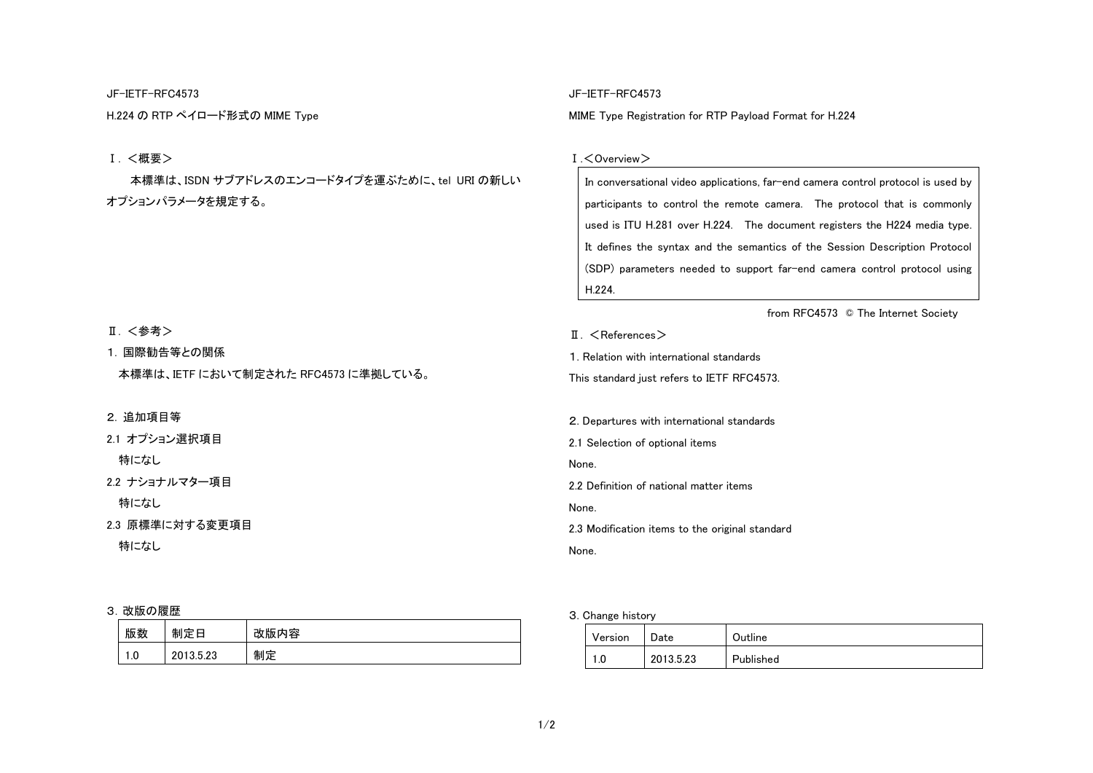### JF-IETF-RFC4573

H.224 の RTP ペイロード形式の MIME Type

# Ⅰ. <概要>

本標準は、ISDN サブアドレスのエンコードタイプを運ぶために、tel URI の新しい オプションパラメータを規定する。

#### Ⅱ. <参考>

1. 国際勧告等との関係

本標準は、IETF において制定された RFC4573 に準拠している。

# 2. 追加項目等

2.1 オプション選択項目

特になし

2.2 ナショナルマター項目

特になし

2.3 原標準に対する変更項目

特になし

#### 3.改版の履歴

| 版数  | 制定<br>౼<br>Ħ | 改版内容 |
|-----|--------------|------|
| 1.0 | 2013.5.23    | 制定   |

# JF-IETF-RFC4573

MIME Type Registration for RTP Payload Format for H.224

#### Ⅰ.<Overview>

In conversational video applications, far-end camera control protocol is used by participants to control the remote camera. The protocol that is commonly used is ITU H.281 over H.224. The document registers the H224 media type. It defines the syntax and the semantics of the Session Description Protocol (SDP) parameters needed to support far-end camera control protocol using H.224.

from RFC4573 © The Internet Society

II. <References>

1. Relation with international standards

This standard just refers to IETF RFC4573.

2. Departures with international standards

2.1 Selection of optional items

None.

2.2 Definition of national matter items

None.

2.3 Modification items to the original standard

None.

3. Change history

| Version | Date      | Outline   |
|---------|-----------|-----------|
| 1.U     | 2013.5.23 | Published |